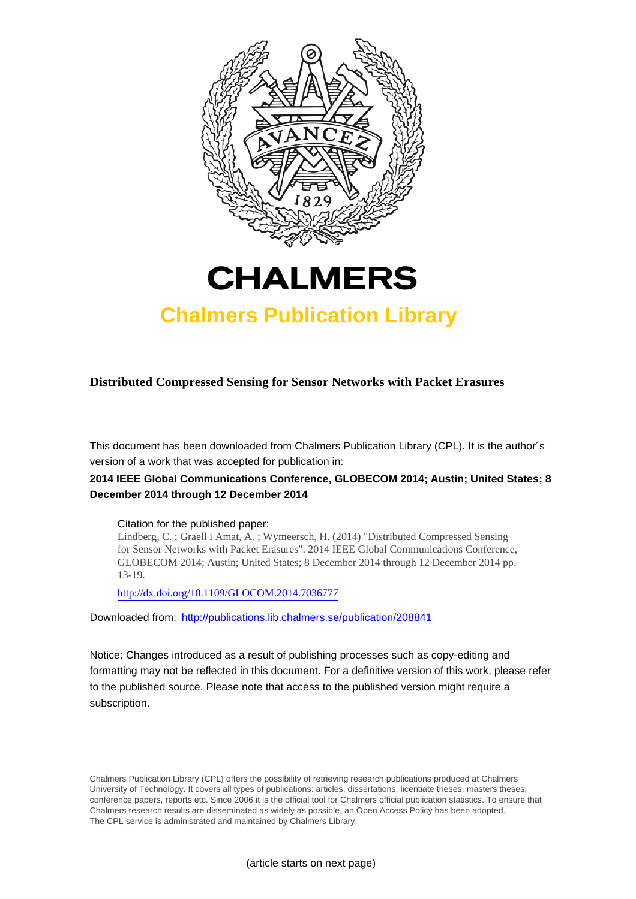



## **Chalmers Publication Library**

**Distributed Compressed Sensing for Sensor Networks with Packet Erasures**

This document has been downloaded from Chalmers Publication Library (CPL). It is the author´s version of a work that was accepted for publication in:

### **2014 IEEE Global Communications Conference, GLOBECOM 2014; Austin; United States; 8 December 2014 through 12 December 2014**

#### Citation for the published paper:

Lindberg, C. ; Graell i Amat, A. ; Wymeersch, H. (2014) "Distributed Compressed Sensing for Sensor Networks with Packet Erasures". 2014 IEEE Global Communications Conference, GLOBECOM 2014; Austin; United States; 8 December 2014 through 12 December 2014 pp. 13-19.

<http://dx.doi.org/10.1109/GLOCOM.2014.7036777>

Downloaded from: <http://publications.lib.chalmers.se/publication/208841>

Notice: Changes introduced as a result of publishing processes such as copy-editing and formatting may not be reflected in this document. For a definitive version of this work, please refer to the published source. Please note that access to the published version might require a subscription.

Chalmers Publication Library (CPL) offers the possibility of retrieving research publications produced at Chalmers University of Technology. It covers all types of publications: articles, dissertations, licentiate theses, masters theses, conference papers, reports etc. Since 2006 it is the official tool for Chalmers official publication statistics. To ensure that Chalmers research results are disseminated as widely as possible, an Open Access Policy has been adopted. The CPL service is administrated and maintained by Chalmers Library.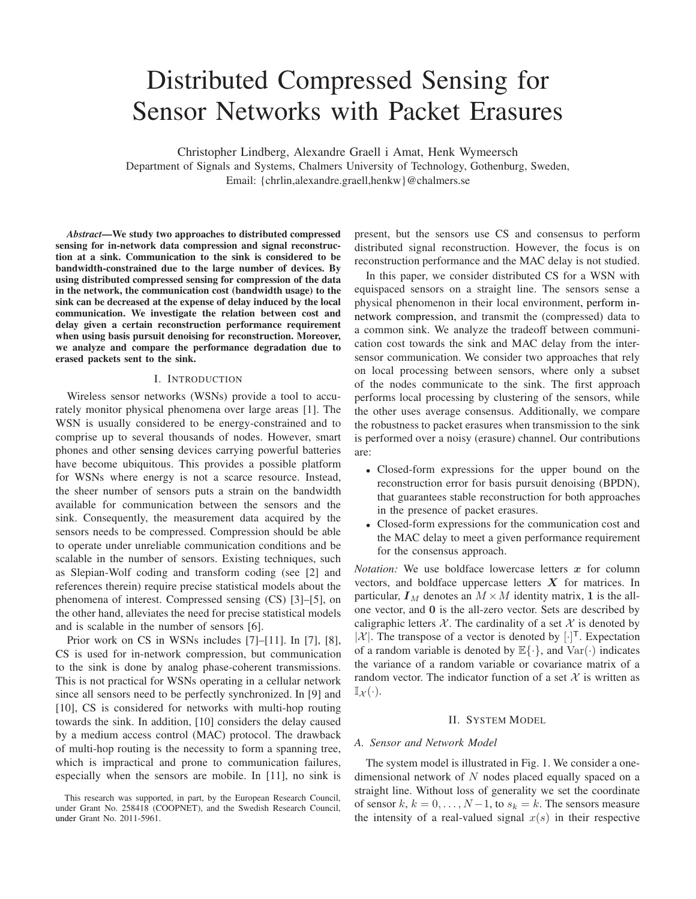# Distributed Compressed Sensing for Sensor Networks with Packet Erasures

Christopher Lindberg, Alexandre Graell i Amat, Henk Wymeersch Department of Signals and Systems, Chalmers University of Technology, Gothenburg, Sweden, Email: {chrlin,alexandre.graell,henkw}@chalmers.se

*Abstract*—We study two approaches to distributed compressed sensing for in-network data compression and signal reconstruction at a sink. Communication to the sink is considered to be bandwidth-constrained due to the large number of devices. By using distributed compressed sensing for compression of the data in the network, the communication cost (bandwidth usage) to the sink can be decreased at the expense of delay induced by the local communication. We investigate the relation between cost and delay given a certain reconstruction performance requirement when using basis pursuit denoising for reconstruction. Moreover, we analyze and compare the performance degradation due to erased packets sent to the sink.

#### I. INTRODUCTION

Wireless sensor networks (WSNs) provide a tool to accurately monitor physical phenomena over large areas [1]. The WSN is usually considered to be energy-constrained and to comprise up to several thousands of nodes. However, smart phones and other sensing devices carrying powerful batteries have become ubiquitous. This provides a possible platform for WSNs where energy is not a scarce resource. Instead, the sheer number of sensors puts a strain on the bandwidth available for communication between the sensors and the sink. Consequently, the measurement data acquired by the sensors needs to be compressed. Compression should be able to operate under unreliable communication conditions and be scalable in the number of sensors. Existing techniques, such as Slepian-Wolf coding and transform coding (see [2] and references therein) require precise statistical models about the phenomena of interest. Compressed sensing (CS) [3]–[5], on the other hand, alleviates the need for precise statistical models and is scalable in the number of sensors [6].

Prior work on CS in WSNs includes [7]–[11]. In [7], [8], CS is used for in-network compression, but communication to the sink is done by analog phase-coherent transmissions. This is not practical for WSNs operating in a cellular network since all sensors need to be perfectly synchronized. In [9] and [10], CS is considered for networks with multi-hop routing towards the sink. In addition, [10] considers the delay caused by a medium access control (MAC) protocol. The drawback of multi-hop routing is the necessity to form a spanning tree, which is impractical and prone to communication failures, especially when the sensors are mobile. In [11], no sink is present, but the sensors use CS and consensus to perform distributed signal reconstruction. However, the focus is on reconstruction performance and the MAC delay is not studied.

In this paper, we consider distributed CS for a WSN with equispaced sensors on a straight line. The sensors sense a physical phenomenon in their local environment, perform innetwork compression, and transmit the (compressed) data to a common sink. We analyze the tradeoff between communication cost towards the sink and MAC delay from the intersensor communication. We consider two approaches that rely on local processing between sensors, where only a subset of the nodes communicate to the sink. The first approach performs local processing by clustering of the sensors, while the other uses average consensus. Additionally, we compare the robustness to packet erasures when transmission to the sink is performed over a noisy (erasure) channel. Our contributions are:

- Closed-form expressions for the upper bound on the reconstruction error for basis pursuit denoising (BPDN), that guarantees stable reconstruction for both approaches in the presence of packet erasures.
- Closed-form expressions for the communication cost and the MAC delay to meet a given performance requirement for the consensus approach.

*Notation:* We use boldface lowercase letters  $x$  for column vectors, and boldface uppercase letters  $X$  for matrices. In particular,  $I_M$  denotes an  $M \times M$  identity matrix, 1 is the allone vector, and 0 is the all-zero vector. Sets are described by caligraphic letters  $X$ . The cardinality of a set X is denoted by  $|\mathcal{X}|$ . The transpose of a vector is denoted by  $[\cdot]^T$ . Expectation of a random variable is denoted by  $\mathbb{E}\{\cdot\}$ , and  $\text{Var}(\cdot)$  indicates the variance of a random variable or covariance matrix of a random vector. The indicator function of a set  $X$  is written as  $\mathbb{I}_{\mathcal{X}}(\cdot).$ 

#### II. SYSTEM MODEL

#### *A. Sensor and Network Model*

The system model is illustrated in Fig. 1. We consider a onedimensional network of  $N$  nodes placed equally spaced on a straight line. Without loss of generality we set the coordinate of sensor  $k, k = 0, \ldots, N-1$ , to  $s_k = k$ . The sensors measure the intensity of a real-valued signal  $x(s)$  in their respective

This research was supported, in part, by the European Research Council, under Grant No. 258418 (COOPNET), and the Swedish Research Council, under Grant No. 2011-5961.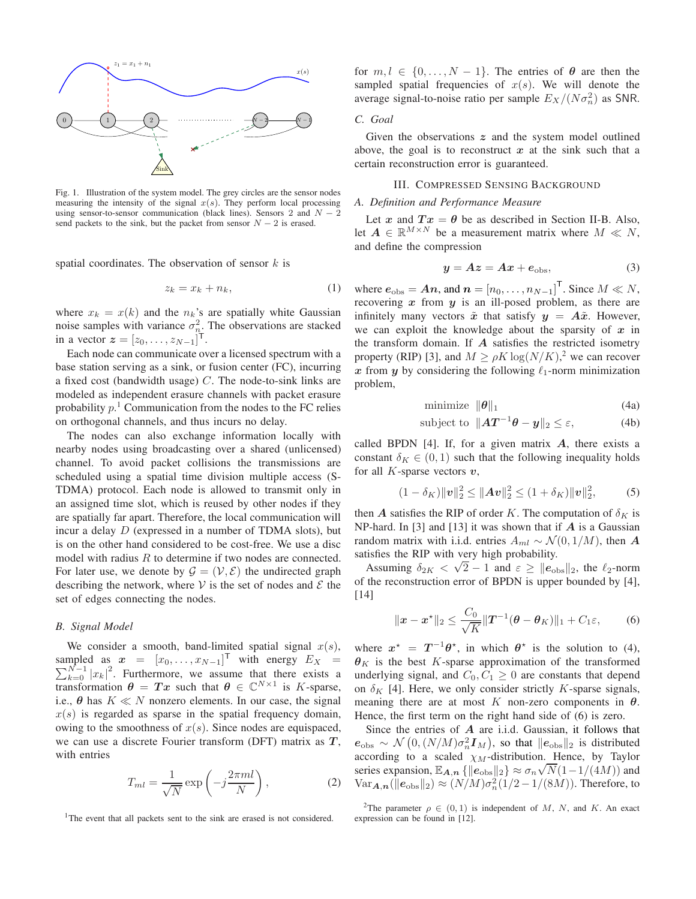

Fig. 1. Illustration of the system model. The grey circles are the sensor nodes measuring the intensity of the signal  $x(s)$ . They perform local processing using sensor-to-sensor communication (black lines). Sensors 2 and  $N - 2$ send packets to the sink, but the packet from sensor  $N - 2$  is erased.

spatial coordinates. The observation of sensor  $k$  is

$$
z_k = x_k + n_k,\tag{1}
$$

where  $x_k = x(k)$  and the  $n_k$ 's are spatially white Gaussian noise samples with variance  $\sigma_{n_{\text{L}}}^2$ . The observations are stacked in a vector  $z = [z_0, ..., z_{N-1}]^T$ .

Each node can communicate over a licensed spectrum with a base station serving as a sink, or fusion center (FC), incurring a fixed cost (bandwidth usage)  $C$ . The node-to-sink links are modeled as independent erasure channels with packet erasure probability  $p<sup>1</sup>$  Communication from the nodes to the FC relies on orthogonal channels, and thus incurs no delay.

The nodes can also exchange information locally with nearby nodes using broadcasting over a shared (unlicensed) channel. To avoid packet collisions the transmissions are scheduled using a spatial time division multiple access (S-TDMA) protocol. Each node is allowed to transmit only in an assigned time slot, which is reused by other nodes if they are spatially far apart. Therefore, the local communication will incur a delay  $D$  (expressed in a number of TDMA slots), but is on the other hand considered to be cost-free. We use a disc model with radius  $R$  to determine if two nodes are connected. For later use, we denote by  $\mathcal{G} = (\mathcal{V}, \mathcal{E})$  the undirected graph describing the network, where  $V$  is the set of nodes and  $\mathcal E$  the set of edges connecting the nodes.

#### *B. Signal Model*

We consider a smooth, band-limited spatial signal  $x(s)$ , sampled as  $x = [x_0, \dots, x_{N-1}]^T$  with energy  $E_X =$  $\sum_{k=0}^{N-1} |x_k|^2$ . Furthermore, we assume that there exists a transformation  $\theta = Tx$  such that  $\theta \in \mathbb{C}^{N \times 1}$  is K-sparse, i.e.,  $\theta$  has  $K \ll N$  nonzero elements. In our case, the signal  $x(s)$  is regarded as sparse in the spatial frequency domain, owing to the smoothness of  $x(s)$ . Since nodes are equispaced, we can use a discrete Fourier transform (DFT) matrix as  $T$ , with entries

$$
T_{ml} = \frac{1}{\sqrt{N}} \exp\left(-j\frac{2\pi ml}{N}\right),\tag{2}
$$

<sup>1</sup>The event that all packets sent to the sink are erased is not considered.

for  $m, l \in \{0, ..., N-1\}$ . The entries of  $\theta$  are then the sampled spatial frequencies of  $x(s)$ . We will denote the average signal-to-noise ratio per sample  $E_X/(N\sigma_n^2)$  as SNR.

#### *C. Goal*

Given the observations  $z$  and the system model outlined above, the goal is to reconstruct  $x$  at the sink such that a certain reconstruction error is guaranteed.

#### III. COMPRESSED SENSING BACKGROUND

#### *A. Definition and Performance Measure*

Let x and  $Tx = \theta$  be as described in Section II-B. Also, let  $A \in \mathbb{R}^{M \times N}$  be a measurement matrix where  $M \ll N$ , and define the compression

$$
y = Az = Ax + e_{\text{obs}},\tag{3}
$$

where  $e_{\text{obs}} = An$ , and  $n = [n_0, \dots, n_{N-1}]^T$ . Since  $M \ll N$ , recovering  $x$  from  $y$  is an ill-posed problem, as there are infinitely many vectors  $\tilde{x}$  that satisfy  $y = A\tilde{x}$ . However, we can exploit the knowledge about the sparsity of  $x$  in the transform domain. If  $A$  satisfies the restricted isometry property (RIP) [3], and  $M \ge \rho K \log(N/K)$ ,<sup>2</sup> we can recover x from y by considering the following  $\ell_1$ -norm minimization problem,

$$
\text{minimize } \|\boldsymbol{\theta}\|_1 \tag{4a}
$$

subject to 
$$
\|\mathbf{A}\mathbf{T}^{-1}\boldsymbol{\theta} - \mathbf{y}\|_2 \leq \varepsilon,
$$
 (4b)

called BPDN  $[4]$ . If, for a given matrix  $A$ , there exists a constant  $\delta_K \in (0, 1)$  such that the following inequality holds for all  $K$ -sparse vectors  $v$ ,

$$
(1 - \delta_K) ||\mathbf{v}||_2^2 \le ||\mathbf{A}\mathbf{v}||_2^2 \le (1 + \delta_K) ||\mathbf{v}||_2^2, \quad (5)
$$

then A satisfies the RIP of order K. The computation of  $\delta_K$  is NP-hard. In [3] and [13] it was shown that if  $\vec{A}$  is a Gaussian random matrix with i.i.d. entries  $A_{ml} \sim \mathcal{N}(0, 1/M)$ , then A satisfies the RIP with very high probability.

Assuming  $\delta_{2K} < \sqrt{2} - 1$  and  $\varepsilon \ge ||e_{\text{obs}}||_2$ , the  $\ell_2$ -norm of the reconstruction error of BPDN is upper bounded by [4], [14]

$$
\|\bm{x} - \bm{x}^{\star}\|_{2} \leq \frac{C_{0}}{\sqrt{K}} \|\bm{T}^{-1}(\bm{\theta} - \bm{\theta}_{K})\|_{1} + C_{1}\varepsilon, \qquad (6)
$$

where  $x^* = T^{-1}\theta^*$ , in which  $\theta^*$  is the solution to (4),  $\theta_K$  is the best K-sparse approximation of the transformed underlying signal, and  $C_0, C_1 \geq 0$  are constants that depend on  $\delta_K$  [4]. Here, we only consider strictly K-sparse signals, meaning there are at most K non-zero components in  $\theta$ . Hence, the first term on the right hand side of (6) is zero.

Since the entries of  $A$  are i.i.d. Gaussian, it follows that  $e_{\text{obs}} \sim \mathcal{N}\left(0, (N/M)\sigma_n^2 \mathbf{I}_M\right)$ , so that  $||e_{\text{obs}}||_2$  is distributed according to a scaled  $\chi_M$ -distribution. Hence, by Taylor series expansion,  $\mathbb{E}_{A,n}$  { $\|\mathbf{e}_{\text{obs}}\|_2$ }  $\approx \sigma_n \sqrt{N}(1-1/(4M))$  and  $\text{Var}_{\mathbf{A},\mathbf{n}}(\|\mathbf{e}_{\text{obs}}\|_2) \approx (N/M) \sigma_n^2(1/2 - 1/(8M)).$  Therefore, to

<sup>&</sup>lt;sup>2</sup>The parameter  $\rho \in (0,1)$  is independent of M, N, and K. An exact expression can be found in [12].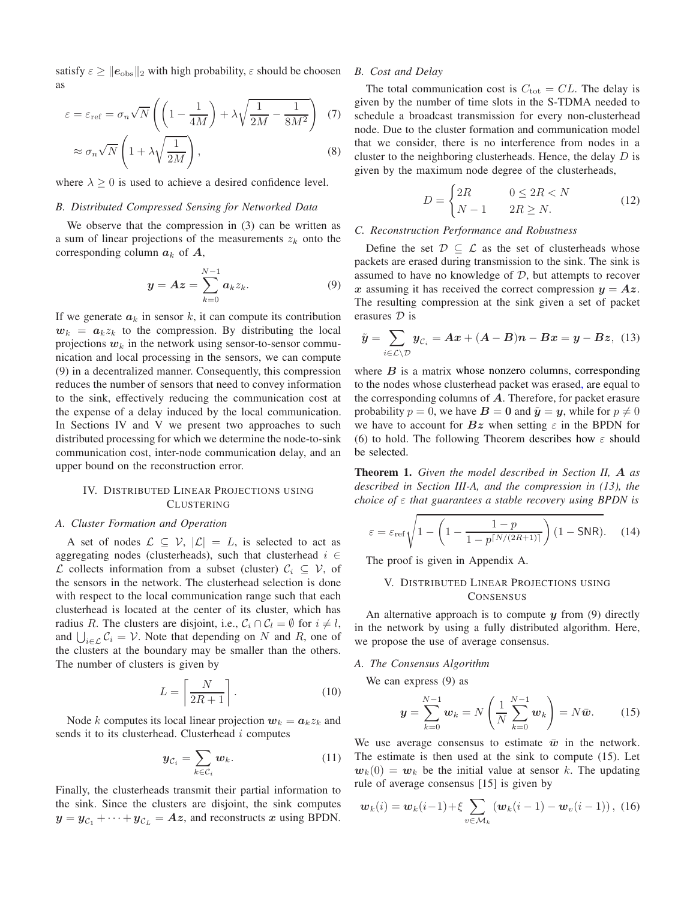satisfy  $\varepsilon \ge ||e_{obs}||_2$  with high probability,  $\varepsilon$  should be choosen as

$$
\varepsilon = \varepsilon_{\text{ref}} = \sigma_n \sqrt{N} \left( \left( 1 - \frac{1}{4M} \right) + \lambda \sqrt{\frac{1}{2M} - \frac{1}{8M^2}} \right) (7)
$$

$$
\approx \sigma_n \sqrt{N} \left( 1 + \lambda \sqrt{\frac{1}{2M}} \right), \qquad (8)
$$

where  $\lambda \geq 0$  is used to achieve a desired confidence level.

#### *B. Distributed Compressed Sensing for Networked Data*

We observe that the compression in (3) can be written as a sum of linear projections of the measurements  $z_k$  onto the corresponding column  $a_k$  of  $A$ ,

$$
\mathbf{y} = \mathbf{A}\mathbf{z} = \sum_{k=0}^{N-1} \mathbf{a}_k z_k.
$$
 (9)

If we generate  $a_k$  in sensor k, it can compute its contribution  $w_k = a_k z_k$  to the compression. By distributing the local projections  $w_k$  in the network using sensor-to-sensor communication and local processing in the sensors, we can compute (9) in a decentralized manner. Consequently, this compression reduces the number of sensors that need to convey information to the sink, effectively reducing the communication cost at the expense of a delay induced by the local communication. In Sections IV and V we present two approaches to such distributed processing for which we determine the node-to-sink communication cost, inter-node communication delay, and an upper bound on the reconstruction error.

#### IV. DISTRIBUTED LINEAR PROJECTIONS USING **CLUSTERING**

#### *A. Cluster Formation and Operation*

A set of nodes  $\mathcal{L} \subseteq \mathcal{V}$ ,  $|\mathcal{L}| = L$ , is selected to act as aggregating nodes (clusterheads), such that clusterhead  $i \in$  $\mathcal L$  collects information from a subset (cluster)  $\mathcal C_i$  ⊆  $\mathcal V$ , of the sensors in the network. The clusterhead selection is done with respect to the local communication range such that each clusterhead is located at the center of its cluster, which has radius R. The clusters are disjoint, i.e.,  $C_i \cap C_l = \emptyset$  for  $i \neq l$ , and  $\bigcup_{i \in \mathcal{L}} C_i = \mathcal{V}$ . Note that depending on N and R, one of the clusters at the boundary may be smaller than the others. The number of clusters is given by

$$
L = \left[\frac{N}{2R + 1}\right].\tag{10}
$$

Node k computes its local linear projection  $w_k = a_k z_k$  and sends it to its clusterhead. Clusterhead  $i$  computes

$$
\boldsymbol{y}_{\mathcal{C}_i} = \sum_{k \in \mathcal{C}_i} \boldsymbol{w}_k. \tag{11}
$$

Finally, the clusterheads transmit their partial information to the sink. Since the clusters are disjoint, the sink computes  $y = y_{C_1} + \cdots + y_{C_L} = Az$ , and reconstructs x using BPDN.

#### *B. Cost and Delay*

The total communication cost is  $C_{\text{tot}} = CL$ . The delay is given by the number of time slots in the S-TDMA needed to schedule a broadcast transmission for every non-clusterhead node. Due to the cluster formation and communication model that we consider, there is no interference from nodes in a cluster to the neighboring clusterheads. Hence, the delay  $D$  is given by the maximum node degree of the clusterheads,

$$
D = \begin{cases} 2R & 0 \le 2R < N \\ N - 1 & 2R \ge N. \end{cases} \tag{12}
$$

#### *C. Reconstruction Performance and Robustness*

Define the set  $\mathcal{D} \subseteq \mathcal{L}$  as the set of clusterheads whose packets are erased during transmission to the sink. The sink is assumed to have no knowledge of  $D$ , but attempts to recover x assuming it has received the correct compression  $y = Az$ . The resulting compression at the sink given a set of packet erasures D is

$$
\tilde{y} = \sum_{i \in \mathcal{L} \setminus \mathcal{D}} y_{\mathcal{C}_i} = Ax + (A - B)n - Bx = y - Bz, \tag{13}
$$

where  $B$  is a matrix whose nonzero columns, corresponding to the nodes whose clusterhead packet was erased, are equal to the corresponding columns of  $A$ . Therefore, for packet erasure probability  $p = 0$ , we have  $B = 0$  and  $\tilde{y} = y$ , while for  $p \neq 0$ we have to account for  $Bz$  when setting  $\varepsilon$  in the BPDN for (6) to hold. The following Theorem describes how  $\varepsilon$  should be selected.

Theorem 1. *Given the model described in Section II,* A *as described in Section III-A, and the compression in (13), the choice of* ε *that guarantees a stable recovery using BPDN is*

$$
\varepsilon = \varepsilon_{\text{ref}} \sqrt{1 - \left(1 - \frac{1 - p}{1 - p^{\lceil N/(2R + 1) \rceil}}\right) (1 - \text{SNR})}.
$$
 (14)

The proof is given in Appendix A.

#### V. DISTRIBUTED LINEAR PROJECTIONS USING **CONSENSUS**

An alternative approach is to compute  $y$  from (9) directly in the network by using a fully distributed algorithm. Here, we propose the use of average consensus.

#### *A. The Consensus Algorithm*

We can express (9) as

$$
\mathbf{y} = \sum_{k=0}^{N-1} \mathbf{w}_k = N \left( \frac{1}{N} \sum_{k=0}^{N-1} \mathbf{w}_k \right) = N \bar{\mathbf{w}}.
$$
 (15)

We use average consensus to estimate  $\bar{w}$  in the network. The estimate is then used at the sink to compute (15). Let  $w_k(0) = w_k$  be the initial value at sensor k. The updating rule of average consensus [15] is given by

$$
\mathbf{w}_k(i) = \mathbf{w}_k(i-1) + \xi \sum_{v \in \mathcal{M}_k} (\mathbf{w}_k(i-1) - \mathbf{w}_v(i-1)), \ (16)
$$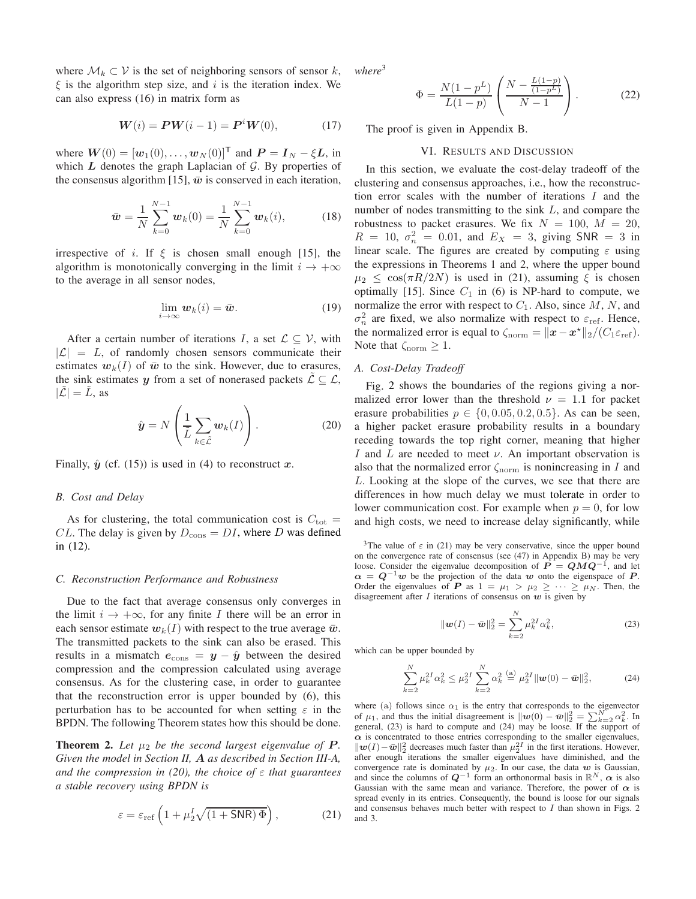where  $\mathcal{M}_k \subset \mathcal{V}$  is the set of neighboring sensors of sensor k,  $\xi$  is the algorithm step size, and i is the iteration index. We can also express (16) in matrix form as

$$
W(i) = PW(i - 1) = PiW(0),
$$
 (17)

where  $W(0) = [\mathbf{w}_1(0), \dots, \mathbf{w}_N(0)]^{\mathsf{T}}$  and  $\mathbf{P} = \mathbf{I}_N - \xi \mathbf{L}$ , in which  $L$  denotes the graph Laplacian of  $G$ . By properties of the consensus algorithm [15],  $\bar{w}$  is conserved in each iteration,

$$
\bar{\boldsymbol{w}} = \frac{1}{N} \sum_{k=0}^{N-1} \boldsymbol{w}_k(0) = \frac{1}{N} \sum_{k=0}^{N-1} \boldsymbol{w}_k(i), \qquad (18)
$$

irrespective of i. If  $\xi$  is chosen small enough [15], the algorithm is monotonically converging in the limit  $i \rightarrow +\infty$ to the average in all sensor nodes,

$$
\lim_{i \to \infty} \mathbf{w}_k(i) = \bar{\mathbf{w}}.\tag{19}
$$

After a certain number of iterations I, a set  $\mathcal{L} \subset \mathcal{V}$ , with  $|{\mathcal{L}}| = L$ , of randomly chosen sensors communicate their estimates  $w_k(I)$  of  $\bar{w}$  to the sink. However, due to erasures, the sink estimates y from a set of nonerased packets  $\mathcal{L} \subseteq \mathcal{L}$ ,  $|\mathcal{L}| = L$ , as

$$
\hat{\boldsymbol{y}} = N\left(\frac{1}{\tilde{L}}\sum_{k \in \tilde{L}} \boldsymbol{w}_k(I)\right). \tag{20}
$$

Finally,  $\hat{y}$  (cf. (15)) is used in (4) to reconstruct x.

#### *B. Cost and Delay*

As for clustering, the total communication cost is  $C_{\text{tot}} =$ CL. The delay is given by  $D_{\text{cons}} = DI$ , where D was defined in (12).

#### *C. Reconstruction Performance and Robustness*

Due to the fact that average consensus only converges in the limit  $i \rightarrow +\infty$ , for any finite I there will be an error in each sensor estimate  $w_k(I)$  with respect to the true average  $\bar{w}$ . The transmitted packets to the sink can also be erased. This results in a mismatch  $e_{\text{cons}} = y - \hat{y}$  between the desired compression and the compression calculated using average consensus. As for the clustering case, in order to guarantee that the reconstruction error is upper bounded by (6), this perturbation has to be accounted for when setting  $\varepsilon$  in the BPDN. The following Theorem states how this should be done.

**Theorem 2.** Let  $\mu_2$  be the second largest eigenvalue of **P**. *Given the model in Section II,* A *as described in Section III-A, and the compression in (20), the choice of* ε *that guarantees a stable recovery using BPDN is*

$$
\varepsilon = \varepsilon_{\text{ref}} \left( 1 + \mu_2^I \sqrt{(1 + \text{SNR}) \Phi} \right),\tag{21}
$$

*where*<sup>3</sup>

$$
\Phi = \frac{N(1 - p^L)}{L(1 - p)} \left( \frac{N - \frac{L(1 - p)}{(1 - p^L)}}{N - 1} \right). \tag{22}
$$

The proof is given in Appendix B.

#### VI. RESULTS AND DISCUSSION

In this section, we evaluate the cost-delay tradeoff of the clustering and consensus approaches, i.e., how the reconstruction error scales with the number of iterations I and the number of nodes transmitting to the sink L, and compare the robustness to packet erasures. We fix  $N = 100$ ,  $M = 20$ ,  $R = 10, \sigma_n^2 = 0.01$ , and  $E_X = 3$ , giving SNR = 3 in linear scale. The figures are created by computing  $\varepsilon$  using the expressions in Theorems 1 and 2, where the upper bound  $\mu_2 \leq \cos(\pi R/2N)$  is used in (21), assuming  $\xi$  is chosen optimally [15]. Since  $C_1$  in (6) is NP-hard to compute, we normalize the error with respect to  $C_1$ . Also, since  $M$ ,  $N$ , and  $\sigma_n^2$  are fixed, we also normalize with respect to  $\varepsilon_{\text{ref}}$ . Hence, the normalized error is equal to  $\zeta_{\text{norm}} = ||x - x^*||_2 / (C_1 \varepsilon_{\text{ref}})$ . Note that  $\zeta_{\text{norm}} \geq 1$ .

#### *A. Cost-Delay Tradeoff*

Fig. 2 shows the boundaries of the regions giving a normalized error lower than the threshold  $\nu = 1.1$  for packet erasure probabilities  $p \in \{0, 0.05, 0.2, 0.5\}$ . As can be seen, a higher packet erasure probability results in a boundary receding towards the top right corner, meaning that higher I and L are needed to meet  $\nu$ . An important observation is also that the normalized error  $\zeta_{\text{norm}}$  is nonincreasing in I and L. Looking at the slope of the curves, we see that there are differences in how much delay we must tolerate in order to lower communication cost. For example when  $p = 0$ , for low and high costs, we need to increase delay significantly, while

<sup>3</sup>The value of  $\varepsilon$  in (21) may be very conservative, since the upper bound on the convergence rate of consensus (see (47) in Appendix B) may be very loose. Consider the eigenvalue decomposition of  $\vec{P} = QMQ^{-1}$ , and let  $\alpha = Q^{-1}w$  be the projection of the data w onto the eigenspace of P. Order the eigenvalues of **P** as  $1 = \mu_1 > \mu_2 \geq \cdots \geq \mu_N$ . Then, the disagreement after I iterations of consensus on  $w$  is given by

$$
\|\mathbf{w}(I) - \bar{\mathbf{w}}\|_2^2 = \sum_{k=2}^N \mu_k^{2I} \alpha_k^2, \tag{23}
$$

which can be upper bounded by

$$
\sum_{k=2}^{N} \mu_k^{2I} \alpha_k^2 \le \mu_2^{2I} \sum_{k=2}^{N} \alpha_k^2 \stackrel{\text{(a)}}{=} \mu_2^{2I} ||\boldsymbol{w}(0) - \bar{\boldsymbol{w}}||_2^2, \tag{24}
$$

where (a) follows since  $\alpha_1$  is the entry that corresponds to the eigenvector of  $\mu_1$ , and thus the initial disagreement is  $\|\mathbf{w}(0) - \bar{\mathbf{w}}\|_2^2 = \sum_{k=2}^{N} \alpha_k^2$ . In general, (23) is hard to compute and (24) may be loose. If the support of  $\alpha$  is concentrated to those entries corresponding to the smaller eigenvalues,  $\|\boldsymbol{w}(I) - \bar{\boldsymbol{w}}\|_2^2$  decreases much faster than  $\mu_2^{2I}$  in the first iterations. However, after enough iterations the smaller eigenvalues have diminished, and the convergence rate is dominated by  $\mu_2$ . In our case, the data w is Gaussian, and since the columns of  $Q^{-1}$  form an orthonormal basis in  $\mathbb{R}^N$ ,  $\alpha$  is also Gaussian with the same mean and variance. Therefore, the power of  $\alpha$  is spread evenly in its entries. Consequently, the bound is loose for our signals and consensus behaves much better with respect to  $I$  than shown in Figs. 2 and 3.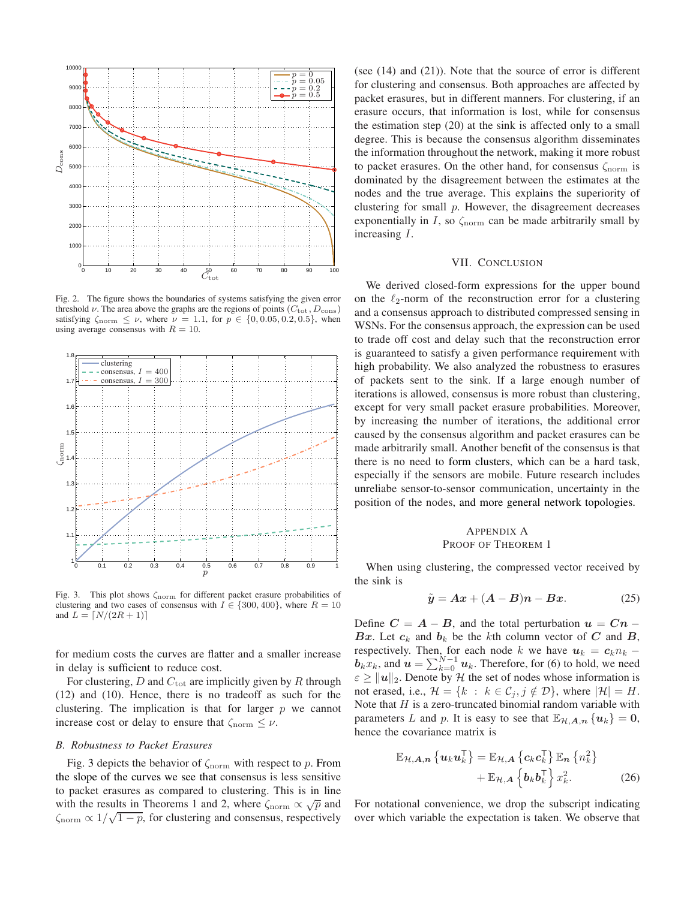

Fig. 2. The figure shows the boundaries of systems satisfying the given error threshold  $\nu$ . The area above the graphs are the regions of points ( $C_{\text{tot}}$ ,  $D_{\text{cons}}$ ) satisfying  $\zeta_{\text{norm}} \leq \nu$ , where  $\nu = 1.1$ , for  $p \in \{0, 0.05, 0.2, 0.5\}$ , when using average consensus with  $R = 10$ .



Fig. 3. This plot shows ζnorm for different packet erasure probabilities of clustering and two cases of consensus with  $I \in \{300, 400\}$ , where  $R = 10$ and  $L = \lfloor N/(2R + 1) \rfloor$ 

for medium costs the curves are flatter and a smaller increase in delay is sufficient to reduce cost.

For clustering,  $D$  and  $C_{\text{tot}}$  are implicitly given by  $R$  through (12) and (10). Hence, there is no tradeoff as such for the clustering. The implication is that for larger  $p$  we cannot increase cost or delay to ensure that  $\zeta_{\text{norm}} \leq \nu$ .

#### *B. Robustness to Packet Erasures*

Fig. 3 depicts the behavior of  $\zeta_{\text{norm}}$  with respect to p. From the slope of the curves we see that consensus is less sensitive to packet erasures as compared to clustering. This is in line with the results in Theorems 1 and 2, where  $\zeta_{\text{norm}} \propto \sqrt{p}$  and  $\zeta_{\text{norm}} \propto 1/\sqrt{1-p}$ , for clustering and consensus, respectively

(see (14) and (21)). Note that the source of error is different for clustering and consensus. Both approaches are affected by packet erasures, but in different manners. For clustering, if an erasure occurs, that information is lost, while for consensus the estimation step (20) at the sink is affected only to a small degree. This is because the consensus algorithm disseminates the information throughout the network, making it more robust to packet erasures. On the other hand, for consensus  $\zeta_{\text{norm}}$  is dominated by the disagreement between the estimates at the nodes and the true average. This explains the superiority of clustering for small  $p$ . However, the disagreement decreases exponentially in I, so  $\zeta_{\text{norm}}$  can be made arbitrarily small by increasing I.

#### VII. CONCLUSION

We derived closed-form expressions for the upper bound on the  $\ell_2$ -norm of the reconstruction error for a clustering and a consensus approach to distributed compressed sensing in WSNs. For the consensus approach, the expression can be used to trade off cost and delay such that the reconstruction error is guaranteed to satisfy a given performance requirement with high probability. We also analyzed the robustness to erasures of packets sent to the sink. If a large enough number of iterations is allowed, consensus is more robust than clustering, except for very small packet erasure probabilities. Moreover, by increasing the number of iterations, the additional error caused by the consensus algorithm and packet erasures can be made arbitrarily small. Another benefit of the consensus is that there is no need to form clusters, which can be a hard task, especially if the sensors are mobile. Future research includes unreliabe sensor-to-sensor communication, uncertainty in the position of the nodes, and more general network topologies.

#### APPENDIX A PROOF OF THEOREM 1

When using clustering, the compressed vector received by the sink is

$$
\tilde{y} = Ax + (A - B)n - Bx. \tag{25}
$$

Define  $C = A - B$ , and the total perturbation  $u = Cn -$ Bx. Let  $c_k$  and  $b_k$  be the kth column vector of C and B, respectively. Then, for each node k we have  $u_k = c_k n_k$  –  $\boldsymbol{b}_k \boldsymbol{x}_k$ , and  $\boldsymbol{u} = \sum_{k=0}^{N-1} \boldsymbol{u}_k$ . Therefore, for (6) to hold, we need  $\epsilon \ge ||u||_2$ . Denote by H the set of nodes whose information is not erased, i.e.,  $\mathcal{H} = \{k : k \in \mathcal{C}_j, j \notin \mathcal{D}\}\$ , where  $|\mathcal{H}| = H$ . Note that  $H$  is a zero-truncated binomial random variable with parameters L and p. It is easy to see that  $\mathbb{E}_{\mathcal{H},A,n} \{u_k\} = 0$ , hence the covariance matrix is

$$
\mathbb{E}_{\mathcal{H},A,n} \left\{ \boldsymbol{u}_k \boldsymbol{u}_k^{\mathsf{T}} \right\} = \mathbb{E}_{\mathcal{H},A} \left\{ \boldsymbol{c}_k \boldsymbol{c}_k^{\mathsf{T}} \right\} \mathbb{E}_n \left\{ n_k^2 \right\} + \mathbb{E}_{\mathcal{H},A} \left\{ \boldsymbol{b}_k \boldsymbol{b}_k^{\mathsf{T}} \right\} x_k^2.
$$
 (26)

For notational convenience, we drop the subscript indicating over which variable the expectation is taken. We observe that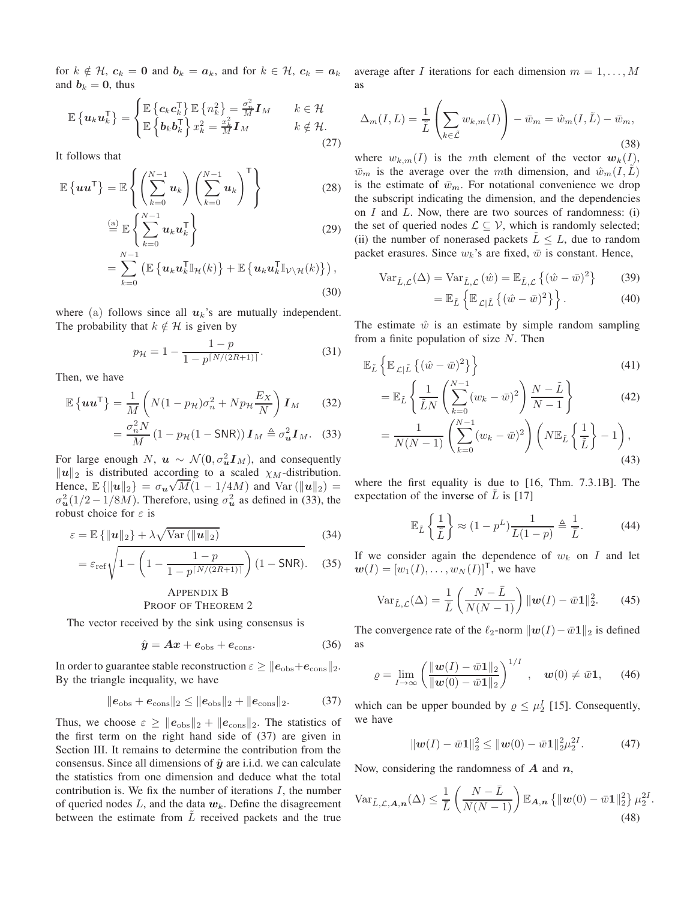for  $k \notin \mathcal{H}$ ,  $c_k = 0$  and  $b_k = a_k$ , and for  $k \in \mathcal{H}$ ,  $c_k = a_k$ and  $b_k = 0$ , thus

$$
\mathbb{E}\left\{\boldsymbol{u}_{k}\boldsymbol{u}_{k}^{\mathsf{T}}\right\} = \begin{cases} \mathbb{E}\left\{\boldsymbol{c}_{k}\boldsymbol{c}_{k}^{\mathsf{T}}\right\} \mathbb{E}\left\{n_{k}^{2}\right\} = \frac{\sigma_{n}^{2}}{M}\boldsymbol{I}_{M} & k \in \mathcal{H} \\ \mathbb{E}\left\{\boldsymbol{b}_{k}\boldsymbol{b}_{k}^{\mathsf{T}}\right\} x_{k}^{2} = \frac{x_{k}^{2}}{M}\boldsymbol{I}_{M} & k \notin \mathcal{H}. \end{cases}
$$
(27)

It follows that

$$
\mathbb{E}\left\{ \boldsymbol{u}\boldsymbol{u}^{\mathsf{T}}\right\} = \mathbb{E}\left\{ \left(\sum_{k=0}^{N-1} \boldsymbol{u}_{k}\right) \left(\sum_{k=0}^{N-1} \boldsymbol{u}_{k}\right)^{\mathsf{T}} \right\}
$$
(28)  

$$
\stackrel{\text{(a)}}{=} \mathbb{E}\left\{ \sum_{k=0}^{N-1} \boldsymbol{u}_{k} \boldsymbol{u}_{k}^{\mathsf{T}} \right\}
$$
(29)

$$
\stackrel{\text{(a)}}{=} \mathbb{E} \left\{ \sum_{k=0}^{\infty} u_k u_k^{\mathsf{T}} \right\} \tag{29}
$$

$$
= \sum_{k=0}^{N-1} \left( \mathbb{E} \left\{ \boldsymbol{u}_k \boldsymbol{u}_k^{\mathsf{T}} \mathbb{I}_{\mathcal{H}}(k) \right\} + \mathbb{E} \left\{ \boldsymbol{u}_k \boldsymbol{u}_k^{\mathsf{T}} \mathbb{I}_{\mathcal{V} \setminus \mathcal{H}}(k) \right\} \right),
$$
(30)

where (a) follows since all  $u_k$ 's are mutually independent. The probability that  $k \notin \mathcal{H}$  is given by

$$
p_{\mathcal{H}} = 1 - \frac{1 - p}{1 - p^{\lceil N/(2R + 1) \rceil}}.\tag{31}
$$

Then, we have

$$
\mathbb{E}\left\{uu^{\mathsf{T}}\right\} = \frac{1}{M}\left(N(1-p_{\mathcal{H}})\sigma_n^2 + Np_{\mathcal{H}}\frac{E_X}{N}\right)\mathbf{I}_M\qquad(32)
$$

$$
= \frac{\sigma_n^2 N}{(1-p_{\mathcal{H}}(1-S\text{NPR}))\mathbf{I}_M \triangleq \sigma^2 \mathbf{I}_M}.
$$

$$
= \frac{\sigma_n^2 N}{M} \left( 1 - p_{\mathcal{H}} (1 - \mathsf{SNR}) \right) \mathbf{I}_M \triangleq \sigma_u^2 \mathbf{I}_M. \quad (33)
$$

For large enough N,  $\mathbf{u} \sim \mathcal{N}(\mathbf{0}, \sigma_u^2 \mathbf{I}_M)$ , and consequently  $\|\mathbf{u}\|_2$  is distributed according to a scaled  $\chi_M$ -distribution. Hence,  $\mathbb{E}\left\{\|\boldsymbol{u}\|_2\right\} = \sigma_{\boldsymbol{u}} \sqrt{M} (1 - 1/4M)$  and Var  $(\|\boldsymbol{u}\|_2)$  =  $\sigma_u^2(1/2 - 1/8M)$ . Therefore, using  $\sigma_u^2$  as defined in (33), the robust choice for  $\varepsilon$  is

$$
\varepsilon = \mathbb{E}\left\{ \|\mathbf{u}\|_2 \right\} + \lambda \sqrt{\text{Var}\left(\|\mathbf{u}\|_2\right)}\tag{34}
$$

$$
= \varepsilon_{\rm ref} \sqrt{1 - \left(1 - \frac{1 - p}{1 - p^{\lceil N/(2R + 1) \rceil}}\right) (1 - \text{SNR})}.
$$
 (35)

#### APPENDIX B PROOF OF THEOREM 2

The vector received by the sink using consensus is

$$
\hat{y} = Ax + e_{\text{obs}} + e_{\text{cons}}.\tag{36}
$$

In order to guarantee stable reconstruction  $\varepsilon \geq ||e_{\text{obs}}+e_{\text{cons}}||_2$ . By the triangle inequality, we have

$$
\|e_{\text{obs}} + e_{\text{cons}}\|_2 \le \|e_{\text{obs}}\|_2 + \|e_{\text{cons}}\|_2. \tag{37}
$$

Thus, we choose  $\varepsilon \geq ||e_{\text{obs}}||_2 + ||e_{\text{cons}}||_2$ . The statistics of the first term on the right hand side of (37) are given in Section III. It remains to determine the contribution from the consensus. Since all dimensions of  $\hat{y}$  are i.i.d. we can calculate the statistics from one dimension and deduce what the total contribution is. We fix the number of iterations  $I$ , the number of queried nodes  $L$ , and the data  $w_k$ . Define the disagreement between the estimate from  $L$  received packets and the true average after I iterations for each dimension  $m = 1, \ldots, M$ as

$$
\Delta_m(I, L) = \frac{1}{\tilde{L}} \left( \sum_{k \in \tilde{L}} w_{k,m}(I) \right) - \bar{w}_m = \hat{w}_m(I, \tilde{L}) - \bar{w}_m,
$$
\n(38)

where  $w_{k,m}(I)$  is the mth element of the vector  $w_k(I)$ ,  $\bar{w}_m$  is the average over the mth dimension, and  $\hat{w}_m(I,L)$ is the estimate of  $\bar{w}_m$ . For notational convenience we drop the subscript indicating the dimension, and the dependencies on  $I$  and  $L$ . Now, there are two sources of randomness: (i) the set of queried nodes  $\mathcal{L} \subseteq \mathcal{V}$ , which is randomly selected; (ii) the number of nonerased packets  $L \leq L$ , due to random packet erasures. Since  $w_k$ 's are fixed,  $\bar{w}$  is constant. Hence,

$$
\text{Var}_{\tilde{L},\mathcal{L}}(\Delta) = \text{Var}_{\tilde{L},\mathcal{L}}(\hat{w}) = \mathbb{E}_{\tilde{L},\mathcal{L}}\left\{ (\hat{w} - \bar{w})^2 \right\} \tag{39}
$$

$$
= \mathbb{E}_{\tilde{L}} \left\{ \mathbb{E}_{\mathcal{L}|\tilde{L}} \left\{ (\hat{w} - \bar{w})^2 \right\} \right\}.
$$
 (40)

The estimate  $\hat{w}$  is an estimate by simple random sampling from a finite population of size  $N$ . Then

$$
\mathbb{E}_{\tilde{L}}\left\{\mathbb{E}_{\mathcal{L}|\tilde{L}}\left\{(\hat{w}-\bar{w})^2\right\}\right\} \tag{41}
$$

$$
= \mathbb{E}_{\tilde{L}}\left\{\frac{1}{\tilde{L}N}\left(\sum_{k=0}^{N-1}(w_k - \bar{w})^2\right)\frac{N-\tilde{L}}{N-1}\right\}
$$
(42)

$$
=\frac{1}{N(N-1)}\left(\sum_{k=0}^{N-1}(w_k-\bar{w})^2\right)\left(N\mathbb{E}_{\tilde{L}}\left\{\frac{1}{\tilde{L}}\right\}-1\right),\tag{43}
$$

where the first equality is due to [16, Thm. 7.3.1B]. The expectation of the inverse of  $L$  is [17]

$$
\mathbb{E}_{\tilde{L}}\left\{\frac{1}{\tilde{L}}\right\} \approx (1 - p^L) \frac{1}{L(1 - p)} \triangleq \frac{1}{\bar{L}}.\tag{44}
$$

If we consider again the dependence of  $w_k$  on  $I$  and let  $w(I) = [w_1(I), \ldots, w_N(I)]^T$ , we have

$$
\text{Var}_{\tilde{L},\mathcal{L}}(\Delta) = \frac{1}{\bar{L}} \left( \frac{N - \bar{L}}{N(N-1)} \right) \|\mathbf{w}(I) - \bar{w}\mathbf{1}\|_2^2. \tag{45}
$$

The convergence rate of the  $\ell_2$ -norm  $\|\boldsymbol{w}(I)-\bar{w}\boldsymbol{1}\|_2$  is defined as

$$
\varrho = \lim_{I \to \infty} \left( \frac{\|\mathbf{w}(I) - \bar{w}\mathbf{1}\|_2}{\|\mathbf{w}(0) - \bar{w}\mathbf{1}\|_2} \right)^{1/I}, \quad \mathbf{w}(0) \neq \bar{w}\mathbf{1}, \qquad (46)
$$

which can be upper bounded by  $\rho \leq \mu_2^I$  [15]. Consequently, we have

$$
\|\mathbf{w}(I) - \bar{w}\mathbf{1}\|_2^2 \le \|\mathbf{w}(0) - \bar{w}\mathbf{1}\|_2^2 \mu_2^{2I}.
$$
 (47)

.

Now, considering the randomness of  $A$  and  $n$ ,

$$
\operatorname{Var}_{\tilde{L}, \mathcal{L}, \mathbf{A}, \mathbf{n}}(\Delta) \le \frac{1}{\bar{L}} \left( \frac{N - \bar{L}}{N(N-1)} \right) \mathbb{E}_{\mathbf{A}, \mathbf{n}} \left\{ \|\mathbf{w}(0) - \bar{w}\mathbf{1}\|_{2}^{2} \right\} \mu_{2}^{2I} \tag{48}
$$